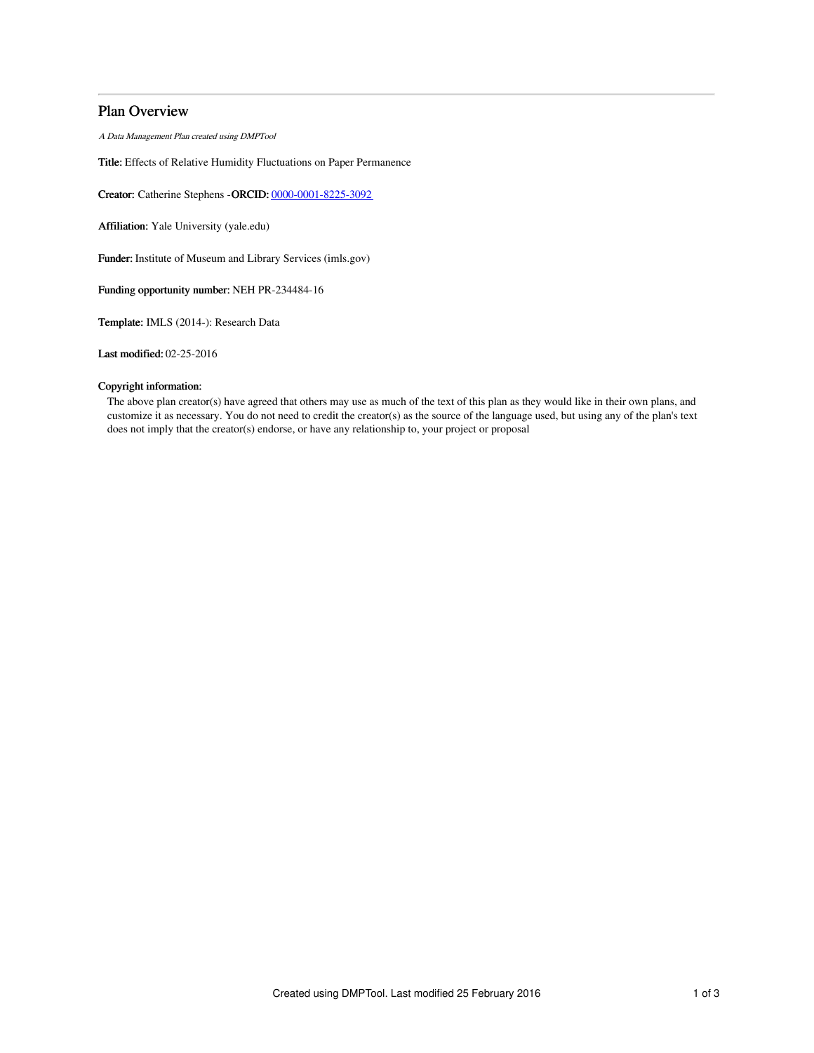# Plan Overview

A Data Management Plan created using DMPTool

Title: Effects of Relative Humidity Fluctuations on Paper Permanence

Creator: Catherine Stephens -ORCID: [0000-0001-8225-3092](https://orcid.org/0000-0001-8225-3092)

Affiliation: Yale University (yale.edu)

Funder: Institute of Museum and Library Services (imls.gov)

Funding opportunity number: NEH PR-234484-16

Template: IMLS (2014-): Research Data

Last modified: 02-25-2016

# Copyright information:

The above plan creator(s) have agreed that others may use as much of the text of this plan as they would like in their own plans, and customize it as necessary. You do not need to credit the creator(s) as the source of the language used, but using any of the plan's text does not imply that the creator(s) endorse, or have any relationship to, your project or proposal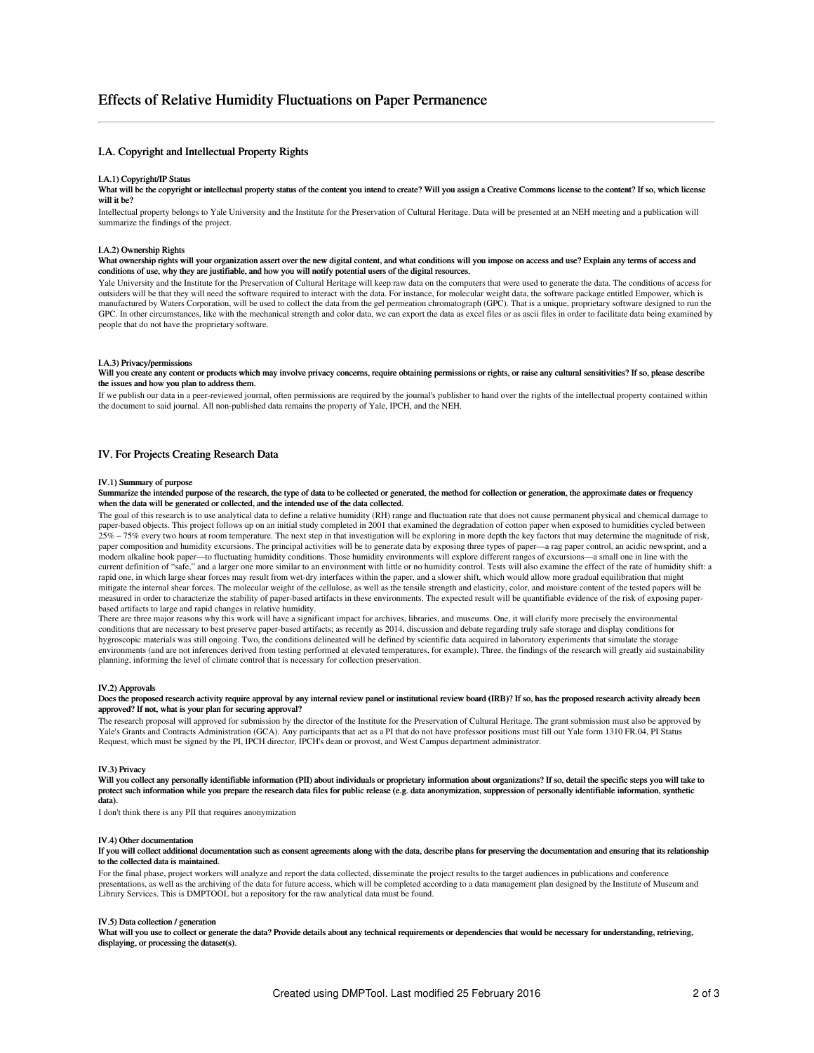# I.A. Copyright and Intellectual Property Rights

# I.A.1) Copyright/IP Status

## What will be the copyright or intellectual property status of the content you intend to create? Will you assign a Creative Commons license to the content? If so, which license will it be?

Intellectual property belongs to Yale University and the Institute for the Preservation of Cultural Heritage. Data will be presented at an NEH meeting and a publication will summarize the findings of the project.

#### I.A.2) Ownership Rights

## What ownership rights will your organization assert over the new digital content, and what conditions will you impose on access and use? Explain any terms of access and conditions of use, why they are justifiable, and how you will notify potential users of the digital resources.

Yale University and the Institute for the Preservation of Cultural Heritage will keep raw data on the computers that were used to generate the data. The conditions of access for outsiders will be that they will need the software required to interact with the data. For instance, for molecular weight data, the software package entitled Empower, which is manufactured by Waters Corporation, will be used to collect the data from the gel permeation chromatograph (GPC). That is a unique, proprietary software designed to run the GPC. In other circumstances, like with the mechanical strength and color data, we can export the data as excel files or as ascii files in order to facilitate data being examined by people that do not have the proprietary software.

#### I.A.3) Privacy/permissions

#### Will you create any content or products which may involve privacy concerns, require obtaining permissions or rights, or raise any cultural sensitivities? If so, please describe the issues and how you plan to address them.

If we publish our data in a peer-reviewed journal, often permissions are required by the journal's publisher to hand over the rights of the intellectual property contained within the document to said journal. All non-published data remains the property of Yale, IPCH, and the NEH.

# IV. For Projects Creating Research Data

#### IV.1) Summary of purpose

Summarize the intended purpose of the research, the type of data to be collected or generated, the method for collection or generation, the approximate dates or frequency when the data will be generated or collected, and the intended use of the data collected.

The goal of this research is to use analytical data to define a relative humidity (RH) range and fluctuation rate that does not cause permanent physical and chemical damage to paper-based objects. This project follows up on an initial study completed in 2001 that examined the degradation of cotton paper when exposed to humidities cycled between 25% – 75% every two hours at room temperature. The next step in that investigation will be exploring in more depth the key factors that may determine the magnitude of risk, paper composition and humidity excursions. The principal activities will be to generate data by exposing three types of paper—a rag paper control, an acidic newsprint, and a modern alkaline book paper—to fluctuating humidity conditions. Those humidity environments will explore different ranges of excursions—a small one in line with the current definition of "safe," and a larger one more similar to an environment with little or no humidity control. Tests will also examine the effect of the rate of humidity shift: a rapid one, in which large shear forces may result from wet-dry interfaces within the paper, and a slower shift, which would allow more gradual equilibration that might mitigate the internal shear forces. The molecular weight of the cellulose, as well as the tensile strength and elasticity, color, and moisture content of the tested papers will be measured in order to characterize the stability of paper-based artifacts in these environments. The expected result will be quantifiable evidence of the risk of exposing paperbased artifacts to large and rapid changes in relative humidity.

There are three major reasons why this work will have a significant impact for archives, libraries, and museums. One, it will clarify more precisely the environmental conditions that are necessary to best preserve paper-based artifacts; as recently as 2014, discussion and debate regarding truly safe storage and display conditions for hygroscopic materials was still ongoing. Two, the conditions delineated will be defined by scientific data acquired in laboratory experiments that simulate the storage environments (and are not inferences derived from testing performed at elevated temperatures, for example). Three, the findings of the research will greatly aid sustainability planning, informing the level of climate control that is necessary for collection preservation.

## IV.2) Approvals

#### Does the proposed research activity require approval by any internal review panel or institutional review board (IRB)? If so, has the proposed research activity already been approved? If not, what is your plan for securing approval?

The research proposal will approved for submission by the director of the Institute for the Preservation of Cultural Heritage. The grant submission must also be approved by Yale's Grants and Contracts Administration (GCA). Any participants that act as a PI that do not have professor positions must fill out Yale form 1310 FR.04, PI Status Request, which must be signed by the PI, IPCH director, IPCH's dean or provost, and West Campus department administrator.

#### IV.3) Privacy

Will you collect any personally identifiable information (PII) about individuals or proprietary information about organizations? If so, detail the specific steps you will take to protect such information while you prepare the research data files for public release (e.g. data anonymization, suppression of personally identifiable information, synthetic data).

I don't think there is any PII that requires anonymization

#### IV.4) Other documentation

If you will collect additional documentation such as consent agreements along with the data, describe plans for preserving the documentation and ensuring that its relationship to the collected data is maintained.

For the final phase, project workers will analyze and report the data collected, disseminate the project results to the target audiences in publications and conference presentations, as well as the archiving of the data for future access, which will be completed according to a data management plan designed by the Institute of Museum and Library Services. This is DMPTOOL but a repository for the raw analytical data must be found.

# IV.5) Data collection / generation

What will you use to collect or generate the data? Provide details about any technical requirements or dependencies that would be necessary for understanding, retrieving, displaying, or processing the dataset(s).